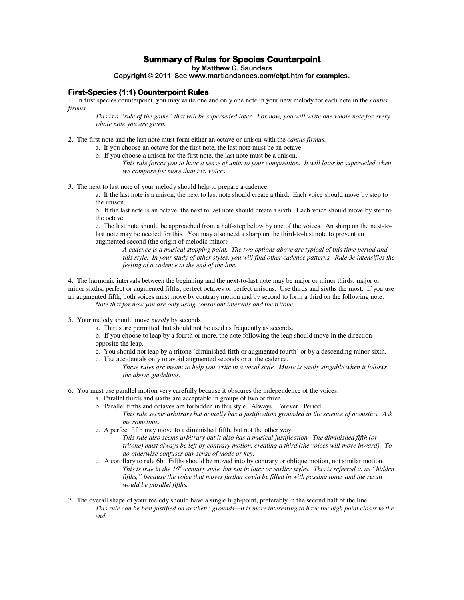# **Summary of Rules for Species Counterpoint**

**by Matthew C. Saunders** 

#### **Copyright** © **2011 See www.martiandances.com/ctpt.htm for examples.**

#### **First-Species (1:1) Counterpoint Rules**

1. In first species counterpoint, you may write one and only one note in your new melody for each note in the *cantus firmus*.

*This is a "rule of the game" that will be superseded later. For now, you will write one whole note for every whole note you are given.* 

- 2. The first note and the last note must form either an octave or unison with the *cantus firmus*.
	- a. If you choose an octave for the first note, the last note must be an octave.
	- b. If you choose a unison for the first note, the last note must be a unison. *This rule forces you to have a sense of unity to your composition. It will later be superseded when we compose for more than two voices.*
- 3. The next to last note of your melody should help to prepare a cadence.

a. If the last note is a unison, the next to last note should create a third. Each voice should move by step to the unison.

b. If the last note is an octave, the next to last note should create a sixth. Each voice should move by step to the octave.

c. The last note should be approached from a half-step below by one of the voices. An sharp on the next-tolast note may be needed for this. You may also need a sharp on the third-to-last note to prevent an augmented second (the origin of melodic minor)

*A cadence is a musical stopping point. The two options above are typical of this time period and this style. In your study of other styles, you will find other cadence patterns. Rule 3c intensifies the feeling of a cadence at the end of the line.* 

4. The harmonic intervals between the beginning and the next-to-last note may be major or minor thirds, major or minor sixths, perfect or augmented fifths, perfect octaves or perfect unisons. Use thirds and sixths the most. If you use an augmented fifth, both voices must move by contrary motion and by second to form a third on the following note. *Note that for now you are only using consonant intervals and the tritone.* 

- 5. Your melody should move *mostly* by seconds.
	- a. Thirds are permitted, but should not be used as frequently as seconds.

b. If you choose to leap by a fourth or more, the note following the leap should move in the direction opposite the leap.

- c. You should not leap by a tritone (diminished fifth or augmented fourth) or by a descending minor sixth.
- d. Use accidentals only to avoid augmented seconds or at the cadence.
	- *These rules are meant to help you write in a vocal style. Music is easily singable when it follows the above guidelines.*
- 6. You must use parallel motion very carefully because it obscures the independence of the voices.
	- a. Parallel thirds and sixths are acceptable in groups of two or three.
	- b. Parallel fifths and octaves are forbidden in this style. Always. Forever. Period. *This rule seems arbitrary but actually has a justification grounded in the science of acoustics. Ask me sometime.*
	- c. A perfect fifth may move to a diminished fifth, but not the other way. *This rule also seems arbitrary but it also has a musical justification. The diminished fifth (or tritone) must always be left by contrary motion, creating a third (the voices will move inward). To do otherwise confuses our sense of mode or key.*
	- d. A corollary to rule 6b: Fifths should be moved into by contrary or oblique motion, not similar motion. *This is true in the 16th-century style, but not in later or earlier styles. This is referred to as "hidden fifths," because the voice that moves further could be filled in with passing tones and the result would be parallel fifths.*
- 7. The overall shape of your melody should have a single high-point, preferably in the second half of the line. *This rule can be best justified on aesthetic grounds—it is more interesting to have the high point closer to the end.*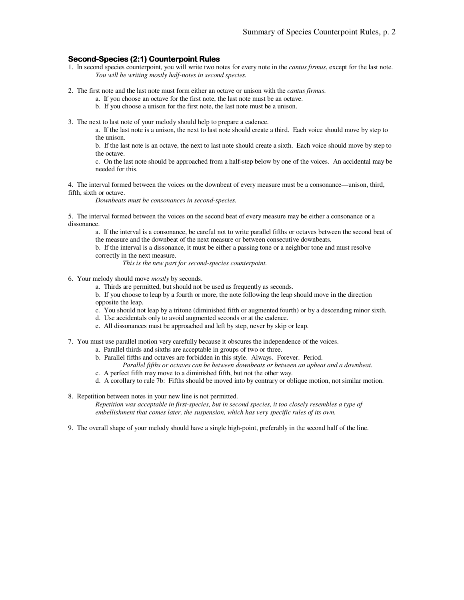### **Second-Species (2:1) Counterpoint Rules**

- 1. In second species counterpoint, you will write two notes for every note in the *cantus firmus*, except for the last note. *You will be writing mostly half-notes in second species.*
- 2. The first note and the last note must form either an octave or unison with the *cantus firmus*.
	- a. If you choose an octave for the first note, the last note must be an octave.
	- b. If you choose a unison for the first note, the last note must be a unison.
- 3. The next to last note of your melody should help to prepare a cadence.
	- a. If the last note is a unison, the next to last note should create a third. Each voice should move by step to the unison.

b. If the last note is an octave, the next to last note should create a sixth. Each voice should move by step to the octave.

c. On the last note should be approached from a half-step below by one of the voices. An accidental may be needed for this.

4. The interval formed between the voices on the downbeat of every measure must be a consonance—unison, third, fifth, sixth or octave.

*Downbeats must be consonances in second-species.* 

5. The interval formed between the voices on the second beat of every measure may be either a consonance or a dissonance.

a. If the interval is a consonance, be careful not to write parallel fifths or octaves between the second beat of the measure and the downbeat of the next measure or between consecutive downbeats.

b. If the interval is a dissonance, it must be either a passing tone or a neighbor tone and must resolve correctly in the next measure.

*This is the new part for second-species counterpoint.* 

- 6. Your melody should move *mostly* by seconds.
	- a. Thirds are permitted, but should not be used as frequently as seconds.

b. If you choose to leap by a fourth or more, the note following the leap should move in the direction opposite the leap.

- c. You should not leap by a tritone (diminished fifth or augmented fourth) or by a descending minor sixth.
- d. Use accidentals only to avoid augmented seconds or at the cadence.
- e. All dissonances must be approached and left by step, never by skip or leap.
- 7. You must use parallel motion very carefully because it obscures the independence of the voices.
	- a. Parallel thirds and sixths are acceptable in groups of two or three.
	- b. Parallel fifths and octaves are forbidden in this style. Always. Forever. Period.
	- *Parallel fifths or octaves can be between downbeats or between an upbeat and a downbeat.*  c. A perfect fifth may move to a diminished fifth, but not the other way.
	- d. A corollary to rule 7b: Fifths should be moved into by contrary or oblique motion, not similar motion.
- 8. Repetition between notes in your new line is not permitted.

*Repetition was acceptable in first-species, but in second species, it too closely resembles a type of embellishment that comes later, the suspension, which has very specific rules of its own.* 

9. The overall shape of your melody should have a single high-point, preferably in the second half of the line.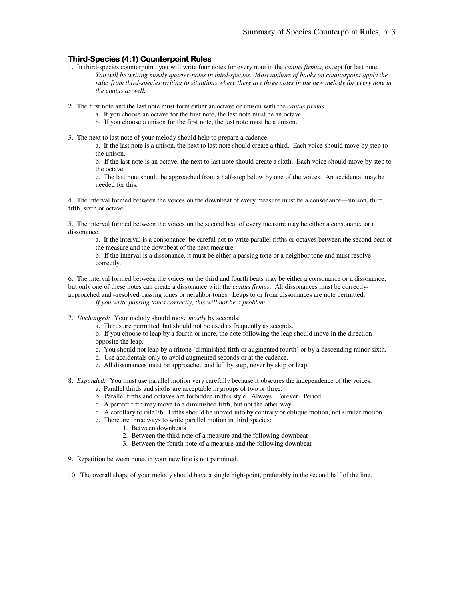## **Third-Species (4:1) Counterpoint Rules**

- 1. In third-species counterpoint, you will write four notes for every note in the *cantus firmus*, except for last note. *You will be writing mostly quarter-notes in third-species. Most authors of books on counterpoint apply the rules from third-species writing to situations where there are three notes in the new melody for every note in the cantus as well.*
- 2. The first note and the last note must form either an octave or unison with the *cantus firmus* 
	- a. If you choose an octave for the first note, the last note must be an octave.
	- b. If you choose a unison for the first note, the last note must be a unison.
- 3. The next to last note of your melody should help to prepare a cadence.

a. If the last note is a unison, the next to last note should create a third. Each voice should move by step to the unison.

b. If the last note is an octave, the next to last note should create a sixth. Each voice should move by step to the octave.

c. The last note should be approached from a half-step below by one of the voices. An accidental may be needed for this.

4. The interval formed between the voices on the downbeat of every measure must be a consonance—unison, third, fifth, sixth or octave.

5. The interval formed between the voices on the second beat of every measure may be either a consonance or a dissonance.

a. If the interval is a consonance, be careful not to write parallel fifths or octaves between the second beat of the measure and the downbeat of the next measure.

b. If the interval is a dissonance, it must be either a passing tone or a neighbor tone and must resolve correctly.

6. The interval formed between the voices on the third and fourth beats may be either a consonance or a dissonance, but only one of these notes can create a dissonance with the *cantus firmus*. All dissonances must be correctlyapproached and –resolved passing tones or neighbor tones. Leaps to or from dissonances are note permitted.

*If you write passing tones correctly, this will not be a problem.* 

- 7. *Unchanged:* Your melody should move *mostly* by seconds.
	- a. Thirds are permitted, but should not be used as frequently as seconds.

b. If you choose to leap by a fourth or more, the note following the leap should move in the direction opposite the leap.

- c. You should not leap by a tritone (diminished fifth or augmented fourth) or by a descending minor sixth.
- d. Use accidentals only to avoid augmented seconds or at the cadence.
- e. All dissonances must be approached and left by step, never by skip or leap.
- 8. *Expanded:* You must use parallel motion very carefully because it obscures the independence of the voices.
	- a. Parallel thirds and sixths are acceptable in groups of two or three.
	- b. Parallel fifths and octaves are forbidden in this style. Always. Forever. Period.
	- c. A perfect fifth may move to a diminished fifth, but not the other way.
	- d. A corollary to rule 7b: Fifths should be moved into by contrary or oblique motion, not similar motion.
	- e. There are three ways to write parallel motion in third species:
		- 1. Between downbeats
		- 2. Between the third note of a measure and the following downbeat
		- 3. Between the fourth note of a measure and the following downbeat
- 9. Repetition between notes in your new line is not permitted.

10. The overall shape of your melody should have a single high-point, preferably in the second half of the line.